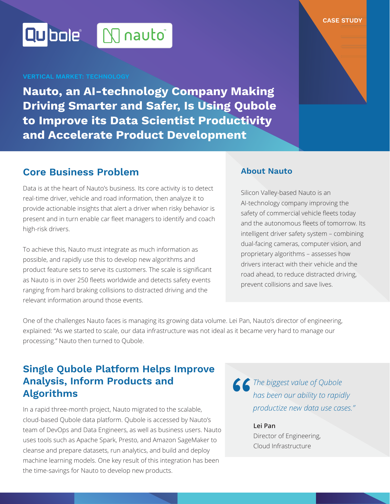# Qubolet M nauto\*

**Nauto, an AI-technology Company Making Driving Smarter and Safer, Is Using Qubole to Improve its Data Scientist Productivity and Accelerate Product Development**

# **Core Business Problem**

Data is at the heart of Nauto's business. Its core activity is to detect real-time driver, vehicle and road information, then analyze it to provide actionable insights that alert a driver when risky behavior is present and in turn enable car fleet managers to identify and coach high-risk drivers.

To achieve this, Nauto must integrate as much information as possible, and rapidly use this to develop new algorithms and product feature sets to serve its customers. The scale is significant as Nauto is in over 250 fleets worldwide and detects safety events ranging from hard braking collisions to distracted driving and the relevant information around those events.

## **About Nauto**

Silicon Valley-based Nauto is an AI-technology company improving the safety of commercial vehicle fleets today and the autonomous fleets of tomorrow. Its intelligent driver safety system – combining dual-facing cameras, computer vision, and proprietary algorithms – assesses how drivers interact with their vehicle and the road ahead, to reduce distracted driving, prevent collisions and save lives.

**CASE STUDY**

One of the challenges Nauto faces is managing its growing data volume. Lei Pan, Nauto's director of engineering, explained: "As we started to scale, our data infrastructure was not ideal as it became very hard to manage our processing." Nauto then turned to Qubole.

# **Single Qubole Platform Helps Improve Analysis, Inform Products and Algorithms**

In a rapid three-month project, Nauto migrated to the scalable, cloud-based Qubole data platform. Qubole is accessed by Nauto's team of DevOps and Data Engineers, as well as business users. Nauto uses tools such as Apache Spark, Presto, and Amazon SageMaker to cleanse and prepare datasets, run analytics, and build and deploy machine learning models. One key result of this integration has been the time-savings for Nauto to develop new products.

*S The biggest value of Qubole*<br>
has been our ability to rapid<br>
productize new data use cas *has been our ability to rapidly productize new data use cases."*

**Lei Pan** Director of Engineering, Cloud Infrastructure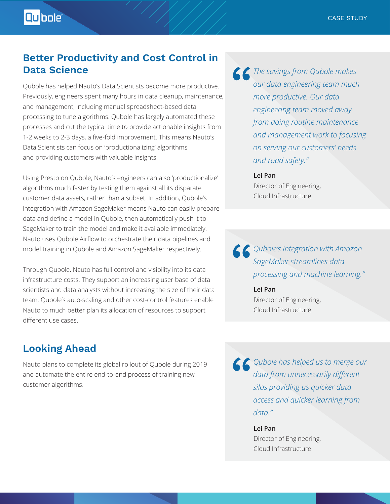# **Better Productivity and Cost Control in Data Science**

Qubole has helped Nauto's Data Scientists become more productive. Previously, engineers spent many hours in data cleanup, maintenance, and management, including manual spreadsheet-based data processing to tune algorithms. Qubole has largely automated these processes and cut the typical time to provide actionable insights from 1-2 weeks to 2-3 days, a five-fold improvement. This means Nauto's Data Scientists can focus on 'productionalizing' algorithms and providing customers with valuable insights.

Using Presto on Qubole, Nauto's engineers can also 'productionalize' algorithms much faster by testing them against all its disparate customer data assets, rather than a subset. In addition, Qubole's integration with Amazon SageMaker means Nauto can easily prepare data and define a model in Qubole, then automatically push it to SageMaker to train the model and make it available immediately. Nauto uses Qubole Airflow to orchestrate their data pipelines and model training in Qubole and Amazon SageMaker respectively.

Through Qubole, Nauto has full control and visibility into its data infrastructure costs. They support an increasing user base of data scientists and data analysts without increasing the size of their data team. Qubole's auto-scaling and other cost-control features enable Nauto to much better plan its allocation of resources to support different use cases.

# **Looking Ahead**

Nauto plans to complete its global rollout of Qubole during 2019 and automate the entire end-to-end process of training new customer algorithms.

*The savings from Qubole makes*<br>
our data engineering team much<br>
more productive. Our data<br>
engineering team moved away *our data engineering team much more productive. Our data engineering team moved away from doing routine maintenance and management work to focusing on serving our customers' needs and road safety."*

## **Lei Pan** Director of Engineering,

Cloud Infrastructure

**6 C** Qubole's integration with Amazon<br>
SageMaker streamlines data<br>
processing and machine learning.'<br>
Lei Pan *SageMaker streamlines data processing and machine learning."* 

**Lei Pan** Director of Engineering, Cloud Infrastructure

**C** Qubole has helped us to merge our<br>data from unnecessarily different<br>silos providing us quicker data<br>access and quicker learning from *data from unnecessarily different silos providing us quicker data access and quicker learning from data."* 

> **Lei Pan** Director of Engineering, Cloud Infrastructure